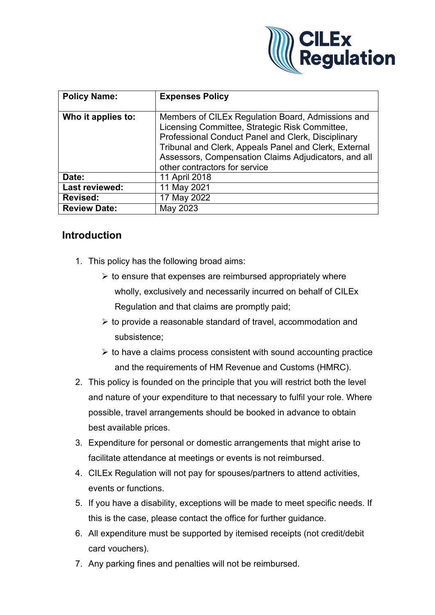

| <b>Policy Name:</b> | <b>Expenses Policy</b>                                                                                                                                                                                                                                                                                      |
|---------------------|-------------------------------------------------------------------------------------------------------------------------------------------------------------------------------------------------------------------------------------------------------------------------------------------------------------|
| Who it applies to:  | Members of CILEx Regulation Board, Admissions and<br>Licensing Committee, Strategic Risk Committee,<br>Professional Conduct Panel and Clerk, Disciplinary<br>Tribunal and Clerk, Appeals Panel and Clerk, External<br>Assessors, Compensation Claims Adjudicators, and all<br>other contractors for service |
| Date:               | 11 April 2018                                                                                                                                                                                                                                                                                               |
| Last reviewed:      | 11 May 2021                                                                                                                                                                                                                                                                                                 |
| <b>Revised:</b>     | 17 May 2022                                                                                                                                                                                                                                                                                                 |
| <b>Review Date:</b> | May 2023                                                                                                                                                                                                                                                                                                    |

## **Introduction**

- 1. This policy has the following broad aims:
	- $\triangleright$  to ensure that expenses are reimbursed appropriately where wholly, exclusively and necessarily incurred on behalf of CILEx Regulation and that claims are promptly paid;
	- $\triangleright$  to provide a reasonable standard of travel, accommodation and subsistence;
	- $\triangleright$  to have a claims process consistent with sound accounting practice and the requirements of HM Revenue and Customs (HMRC).
- 2. This policy is founded on the principle that you will restrict both the level and nature of your expenditure to that necessary to fulfil your role. Where possible, travel arrangements should be booked in advance to obtain best available prices.
- 3. Expenditure for personal or domestic arrangements that might arise to facilitate attendance at meetings or events is not reimbursed.
- 4. CILEx Regulation will not pay for spouses/partners to attend activities, events or functions.
- 5. If you have a disability, exceptions will be made to meet specific needs. If this is the case, please contact the office for further guidance.
- 6. All expenditure must be supported by itemised receipts (not credit/debit card vouchers).
- 7. Any parking fines and penalties will not be reimbursed.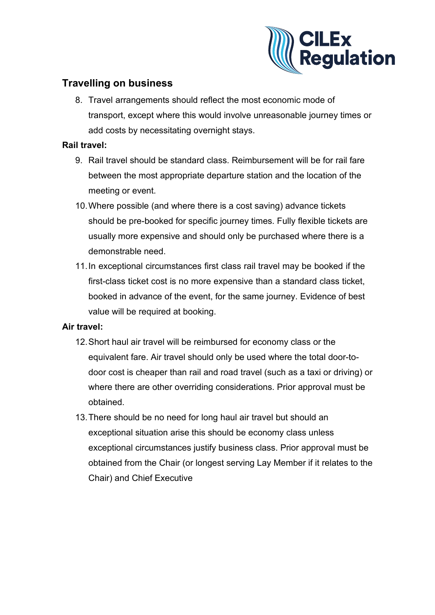

# **Travelling on business**

8. Travel arrangements should reflect the most economic mode of transport, except where this would involve unreasonable journey times or add costs by necessitating overnight stays.

## **Rail travel:**

- 9. Rail travel should be standard class. Reimbursement will be for rail fare between the most appropriate departure station and the location of the meeting or event.
- 10.Where possible (and where there is a cost saving) advance tickets should be pre-booked for specific journey times. Fully flexible tickets are usually more expensive and should only be purchased where there is a demonstrable need.
- 11.In exceptional circumstances first class rail travel may be booked if the first-class ticket cost is no more expensive than a standard class ticket, booked in advance of the event, for the same journey. Evidence of best value will be required at booking.

## **Air travel:**

- 12.Short haul air travel will be reimbursed for economy class or the equivalent fare. Air travel should only be used where the total door-todoor cost is cheaper than rail and road travel (such as a taxi or driving) or where there are other overriding considerations. Prior approval must be obtained.
- 13.There should be no need for long haul air travel but should an exceptional situation arise this should be economy class unless exceptional circumstances justify business class. Prior approval must be obtained from the Chair (or longest serving Lay Member if it relates to the Chair) and Chief Executive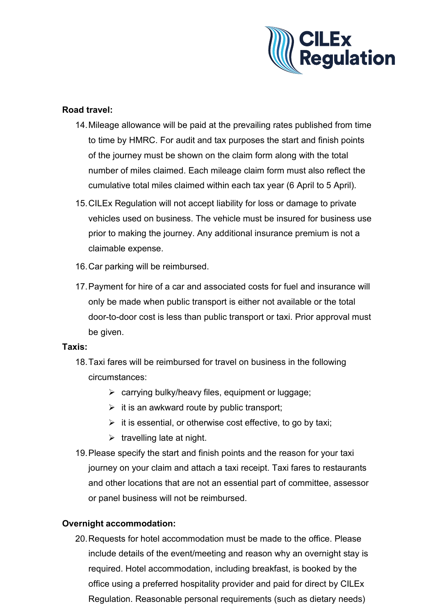

## **Road travel:**

- 14.Mileage allowance will be paid at the prevailing rates published from time to time by HMRC. For audit and tax purposes the start and finish points of the journey must be shown on the claim form along with the total number of miles claimed. Each mileage claim form must also reflect the cumulative total miles claimed within each tax year (6 April to 5 April).
- 15.CILEx Regulation will not accept liability for loss or damage to private vehicles used on business. The vehicle must be insured for business use prior to making the journey. Any additional insurance premium is not a claimable expense.
- 16.Car parking will be reimbursed.
- 17.Payment for hire of a car and associated costs for fuel and insurance will only be made when public transport is either not available or the total door-to-door cost is less than public transport or taxi. Prior approval must be given.

#### **Taxis:**

- 18.Taxi fares will be reimbursed for travel on business in the following circumstances:
	- $\triangleright$  carrying bulky/heavy files, equipment or luggage;
	- $\triangleright$  it is an awkward route by public transport;
	- $\triangleright$  it is essential, or otherwise cost effective, to go by taxi;
	- $\triangleright$  travelling late at night.
- 19.Please specify the start and finish points and the reason for your taxi journey on your claim and attach a taxi receipt. Taxi fares to restaurants and other locations that are not an essential part of committee, assessor or panel business will not be reimbursed.

## **Overnight accommodation:**

20.Requests for hotel accommodation must be made to the office. Please include details of the event/meeting and reason why an overnight stay is required. Hotel accommodation, including breakfast, is booked by the office using a preferred hospitality provider and paid for direct by CILEx Regulation. Reasonable personal requirements (such as dietary needs)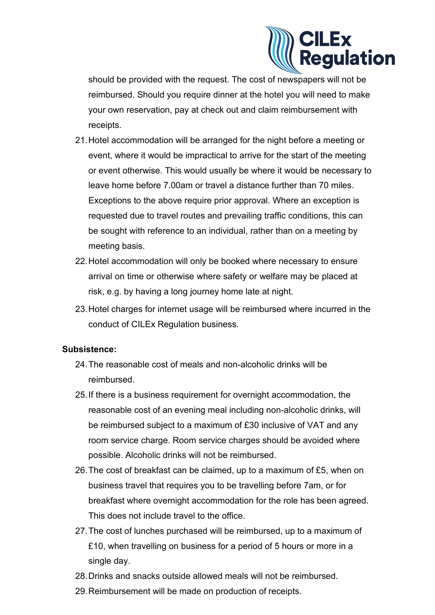

should be provided with the request. The cost of newspapers will not be reimbursed. Should you require dinner at the hotel you will need to make your own reservation, pay at check out and claim reimbursement with receipts.

- 21.Hotel accommodation will be arranged for the night before a meeting or event, where it would be impractical to arrive for the start of the meeting or event otherwise. This would usually be where it would be necessary to leave home before 7.00am or travel a distance further than 70 miles. Exceptions to the above require prior approval. Where an exception is requested due to travel routes and prevailing traffic conditions, this can be sought with reference to an individual, rather than on a meeting by meeting basis.
- 22.Hotel accommodation will only be booked where necessary to ensure arrival on time or otherwise where safety or welfare may be placed at risk, e.g. by having a long journey home late at night.
- 23.Hotel charges for internet usage will be reimbursed where incurred in the conduct of CILEx Regulation business.

## **Subsistence:**

- 24.The reasonable cost of meals and non-alcoholic drinks will be reimbursed.
- 25.If there is a business requirement for overnight accommodation, the reasonable cost of an evening meal including non-alcoholic drinks, will be reimbursed subject to a maximum of £30 inclusive of VAT and any room service charge. Room service charges should be avoided where possible. Alcoholic drinks will not be reimbursed.
- 26.The cost of breakfast can be claimed, up to a maximum of £5, when on business travel that requires you to be travelling before 7am, or for breakfast where overnight accommodation for the role has been agreed. This does not include travel to the office.
- 27.The cost of lunches purchased will be reimbursed, up to a maximum of £10, when travelling on business for a period of 5 hours or more in a single day.
- 28.Drinks and snacks outside allowed meals will not be reimbursed.
- 29.Reimbursement will be made on production of receipts.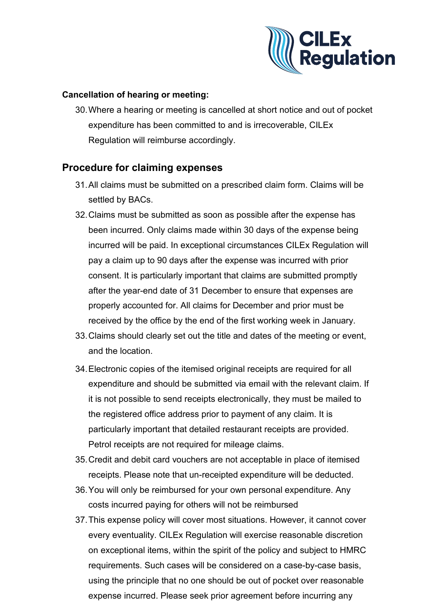

## **Cancellation of hearing or meeting:**

30.Where a hearing or meeting is cancelled at short notice and out of pocket expenditure has been committed to and is irrecoverable, CILEx Regulation will reimburse accordingly.

## **Procedure for claiming expenses**

- 31.All claims must be submitted on a prescribed claim form. Claims will be settled by BACs.
- 32.Claims must be submitted as soon as possible after the expense has been incurred. Only claims made within 30 days of the expense being incurred will be paid. In exceptional circumstances CILEx Regulation will pay a claim up to 90 days after the expense was incurred with prior consent. It is particularly important that claims are submitted promptly after the year-end date of 31 December to ensure that expenses are properly accounted for. All claims for December and prior must be received by the office by the end of the first working week in January.
- 33.Claims should clearly set out the title and dates of the meeting or event, and the location.
- 34.Electronic copies of the itemised original receipts are required for all expenditure and should be submitted via email with the relevant claim. If it is not possible to send receipts electronically, they must be mailed to the registered office address prior to payment of any claim. It is particularly important that detailed restaurant receipts are provided. Petrol receipts are not required for mileage claims.
- 35.Credit and debit card vouchers are not acceptable in place of itemised receipts. Please note that un-receipted expenditure will be deducted.
- 36.You will only be reimbursed for your own personal expenditure. Any costs incurred paying for others will not be reimbursed
- 37.This expense policy will cover most situations. However, it cannot cover every eventuality. CILEx Regulation will exercise reasonable discretion on exceptional items, within the spirit of the policy and subject to HMRC requirements. Such cases will be considered on a case-by-case basis, using the principle that no one should be out of pocket over reasonable expense incurred. Please seek prior agreement before incurring any